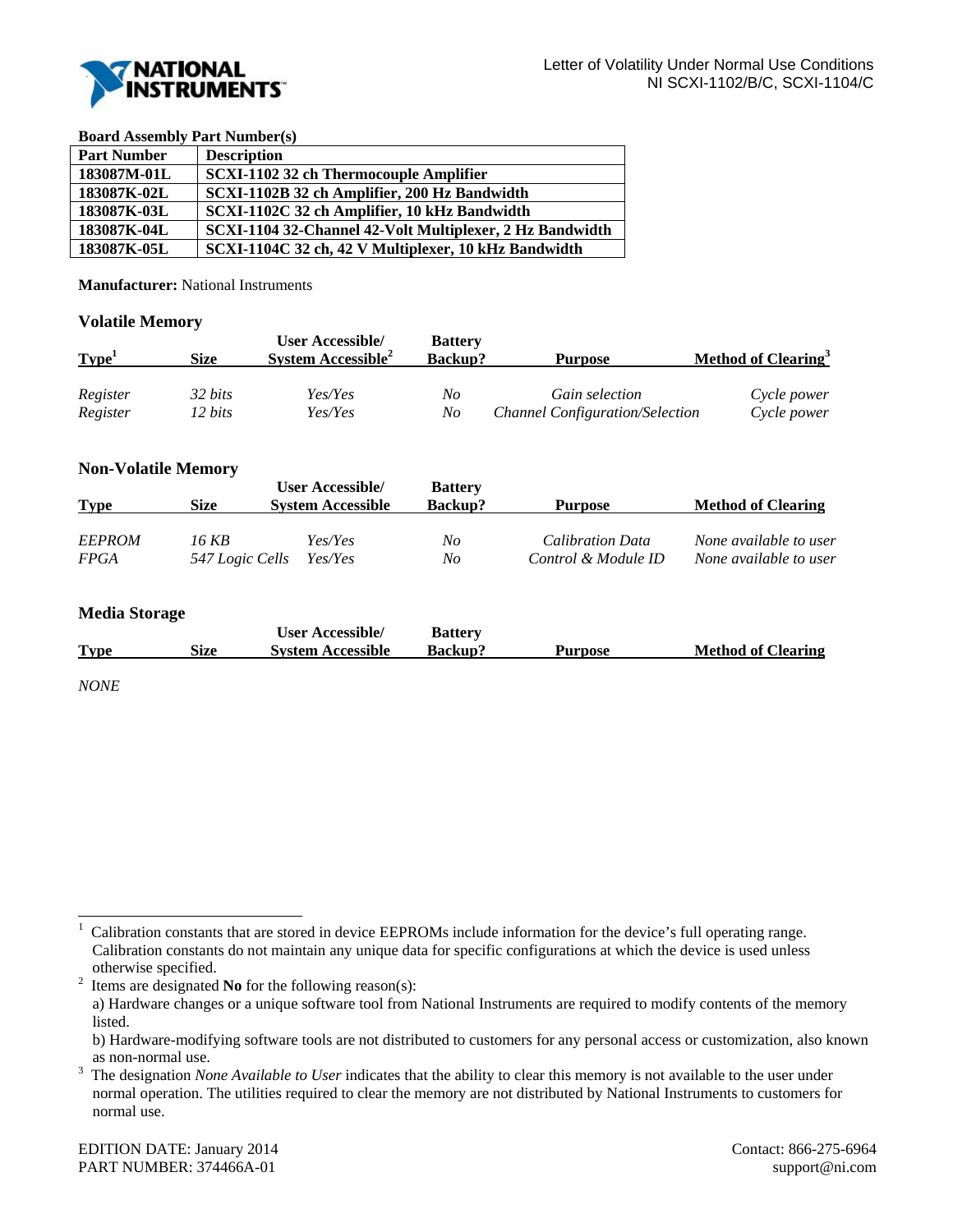

#### **Board Assembly Part Number(s)**

| <b>Part Number</b> | <b>Description</b>                                       |
|--------------------|----------------------------------------------------------|
| 183087M-01L        | SCXI-1102 32 ch Thermocouple Amplifier                   |
| 183087K-02L        | SCXI-1102B 32 ch Amplifier, 200 Hz Bandwidth             |
| 183087K-03L        | SCXI-1102C 32 ch Amplifier, 10 kHz Bandwidth             |
| 183087K-04L        | SCXI-1104 32-Channel 42-Volt Multiplexer, 2 Hz Bandwidth |
| 183087K-05L        | SCXI-1104C 32 ch, 42 V Multiplexer, 10 kHz Bandwidth     |

**Manufacturer:** National Instruments

# **Volatile Memory**

| Type <sup>1</sup> | Size    | <b>User Accessible/</b><br>System Accessible <sup>2</sup> | <b>Battery</b><br><b>Backup?</b> | <b>Purpose</b>                         | Method of Clearing <sup>3</sup> |
|-------------------|---------|-----------------------------------------------------------|----------------------------------|----------------------------------------|---------------------------------|
| Register          | 32 bits | Yes/Yes                                                   | No                               | Gain selection                         | Cycle power                     |
| Register          | 12 bits | Yes/Yes                                                   | No                               | <b>Channel Configuration/Selection</b> | Cycle power                     |

# **Non-Volatile Memory**

| <b>Type</b>   | <b>Size</b>     | User Accessible/<br><b>System Accessible</b> | <b>Battery</b><br><b>Backup?</b> | Purpose             | <b>Method of Clearing</b> |
|---------------|-----------------|----------------------------------------------|----------------------------------|---------------------|---------------------------|
| <b>EEPROM</b> | 16 KB           | Yes/Yes                                      | No                               | Calibration Data    | None available to user    |
| <b>FPGA</b>   | 547 Logic Cells | Yes/Yes                                      | $N_{O}$                          | Control & Module ID | None available to user    |

### **Media Storage**

|             |      | <b>User Accessible/</b>  | <b>Battery</b> |         |                           |
|-------------|------|--------------------------|----------------|---------|---------------------------|
| <b>Type</b> | Size | <b>System Accessible</b> | <b>Backup?</b> | Purpose | <b>Method of Clearing</b> |

*NONE* 

l

Items are designated **No** for the following reason(s):

<sup>1</sup> Calibration constants that are stored in device EEPROMs include information for the device's full operating range. Calibration constants do not maintain any unique data for specific configurations at which the device is used unless otherwise specified.<br> $\frac{2}{1}$  Items are designated

a) Hardware changes or a unique software tool from National Instruments are required to modify contents of the memory listed.

b) Hardware-modifying software tools are not distributed to customers for any personal access or customization, also known as non-normal use.<br> $3$  The designation  $N_Q$ 

The designation *None Available to User* indicates that the ability to clear this memory is not available to the user under normal operation. The utilities required to clear the memory are not distributed by National Instruments to customers for normal use.